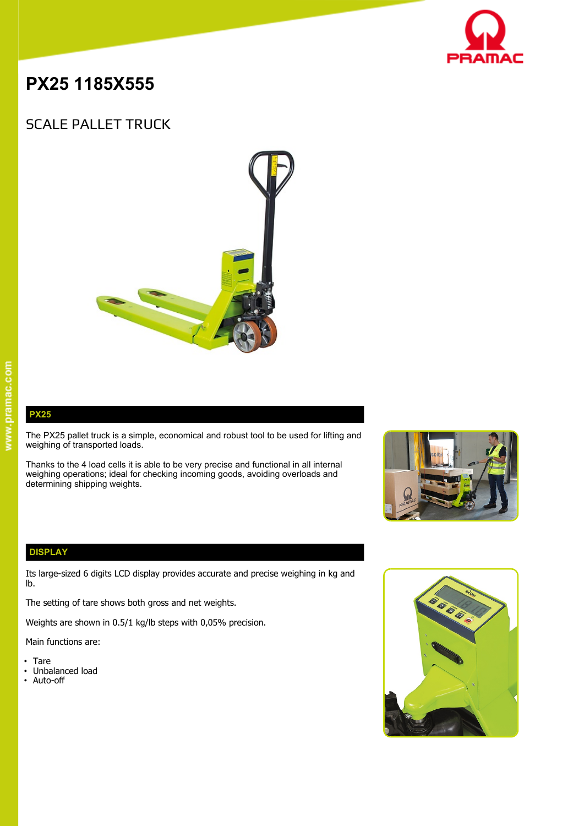

# **PX25 1185X555**

## SCALE PALLET TRUCK



**PX25** The PX25 pallet truck is a simple, economical and robust tool to be used for lifting and **The Lifting Contains to the United States** 

Thanks to the 4 load cells it is able to be very precise and functional in all internal weighing operations; ideal for checking incoming goods, avoiding overloads and determining shipping weights.





### **DISPLAY**

Its large-sized 6 digits LCD display provides accurate and precise weighing in kg and lb.

The setting of tare shows both gross and net weights.

weighing of transported loads.

Weights are shown in 0.5/1 kg/lb steps with 0,05% precision.

Main functions are:

- Tare
- Unbalanced load
- Auto-off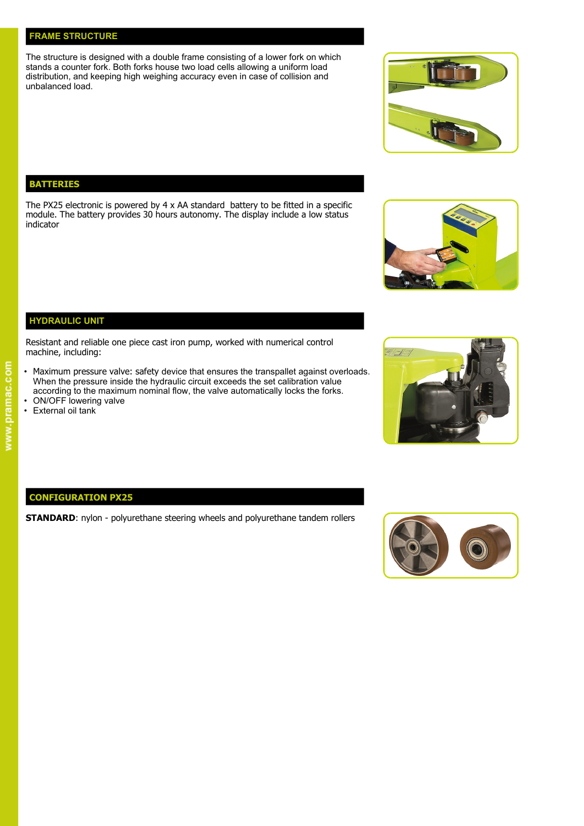### **FRAME STRUCTURE**

The structure is designed with a double frame consisting of a lower fork on which stands a counter fork. Both forks house two load cells allowing a uniform load distribution, and keeping high weighing accuracy even in case of collision and unbalanced load.

### **BATTERIES**

The PX25 electronic is powered by 4 x AA standard battery to be fitted in a specific module. The battery provides 30 hours autonomy. The display include a low status indicator

Resistant and reliable one piece cast iron pump, worked with numerical control machine, including:

- Maximum pressure valve: safety device that ensures the transpallet against overloads. When the pressure inside the hydraulic circuit exceeds the set calibration value according to the maximum nominal flow, the valve automatically locks the forks.
- ON/OFF lowering valve
- External oil tank

**HYDRAULIC UNIT**

### **CONFIGURATION PX25**

**STANDARD:** nylon - polyurethane steering wheels and polyurethane tandem rollers







 $\frac{1}{2}$ 



# www.pramac.com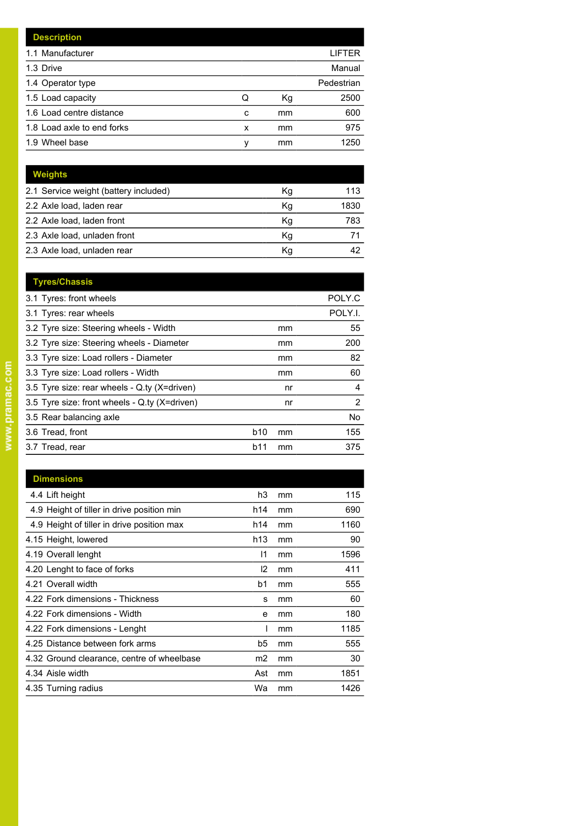|   |    | LIFTER     |
|---|----|------------|
|   |    | Manual     |
|   |    | Pedestrian |
| Q | Кg | 2500       |
| C | mm | 600        |
| x | mm | 975        |
| ν | mm | 1250       |
|   |    |            |

| <b>Weights</b>                        |    |      |
|---------------------------------------|----|------|
| 2.1 Service weight (battery included) | Κq | 113  |
| 2.2 Axle load, laden rear             | Kg | 1830 |
| 2.2 Axle load, laden front            | Kg | 783  |
| 2.3 Axle load, unladen front          | Kg |      |
| 2.3 Axle load, unladen rear           | Κg | 42   |

| <b>Tyres/Chassis</b>                          |     |    |         |
|-----------------------------------------------|-----|----|---------|
| 3.1 Tyres: front wheels                       |     |    | POLY.C  |
| 3.1 Tyres: rear wheels                        |     |    | POLY.I. |
| 3.2 Tyre size: Steering wheels - Width        |     | mm | 55      |
| 3.2 Tyre size: Steering wheels - Diameter     |     | mm | 200     |
| 3.3 Tyre size: Load rollers - Diameter        |     | mm | 82      |
| 3.3 Tyre size: Load rollers - Width           |     | mm | 60      |
| 3.5 Tyre size: rear wheels - Q.ty (X=driven)  |     | nr | 4       |
| 3.5 Tyre size: front wheels - Q.ty (X=driven) |     | nr | 2       |
| 3.5 Rear balancing axle                       |     |    | No      |
| 3.6 Tread, front                              | b10 | mm | 155     |
| 3.7 Tread, rear                               | b11 | mm | 375     |
|                                               |     |    |         |

| <b>Dimensions</b>                          |                |    |      |
|--------------------------------------------|----------------|----|------|
| 4.4 Lift height                            | h3             | mm | 115  |
| 4.9 Height of tiller in drive position min | h14            | mm | 690  |
| 4.9 Height of tiller in drive position max | h14            | mm | 1160 |
| 4.15 Height, lowered                       | h13            | mm | 90   |
| 4.19 Overall lenght                        | 11             | mm | 1596 |
| 4.20 Lenght to face of forks               | 12             | mm | 411  |
| 4.21 Overall width                         | b1             | mm | 555  |
| 4.22 Fork dimensions - Thickness           | s              | mm | 60   |
| 4.22 Fork dimensions - Width               | e              | mm | 180  |
| 4.22 Fork dimensions - Lenght              |                | mm | 1185 |
| 4.25 Distance between fork arms            | b5             | mm | 555  |
| 4.32 Ground clearance, centre of wheelbase | m <sub>2</sub> | mm | 30   |
| 4.34 Aisle width                           | Ast            | mm | 1851 |
| 4.35 Turning radius                        | Wa             | mm | 1426 |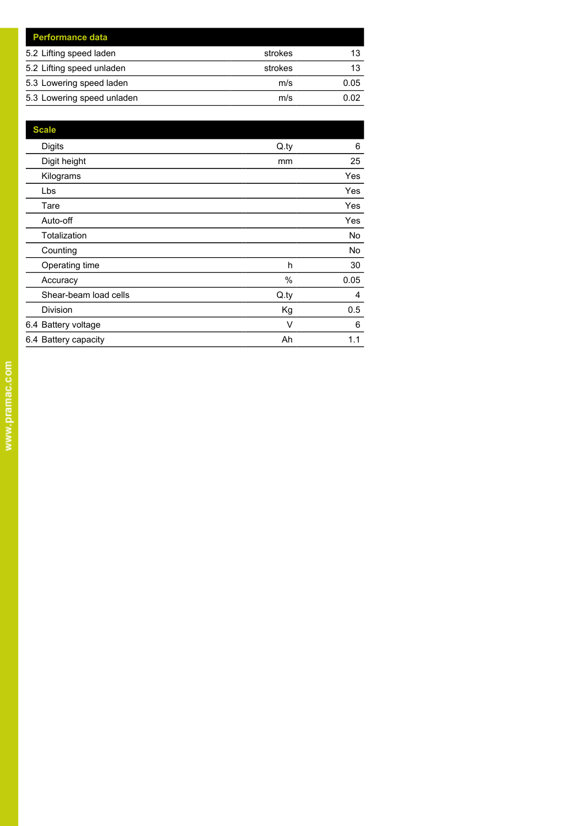| <b>Performance data</b>    |         |      |
|----------------------------|---------|------|
| 5.2 Lifting speed laden    | strokes |      |
| 5.2 Lifting speed unladen  | strokes | 13   |
| 5.3 Lowering speed laden   | m/s     | 0.05 |
| 5.3 Lowering speed unladen | m/s     | በ በ2 |

| <b>Scale</b>          |      |            |
|-----------------------|------|------------|
| <b>Digits</b>         | Q.py | 6          |
| Digit height          | mm   | 25         |
| Kilograms             |      | <b>Yes</b> |
| Lbs                   |      | <b>Yes</b> |
| Tare                  |      | <b>Yes</b> |
| Auto-off              |      | Yes        |
| Totalization          |      | No         |
| Counting              |      | No         |
| Operating time        | h    | 30         |
| Accuracy              | $\%$ | 0.05       |
| Shear-beam load cells | Q.py | 4          |
| <b>Division</b>       | Kg   | 0.5        |
| 6.4 Battery voltage   | V    | 6          |
| 6.4 Battery capacity  | Ah   | 1.1        |